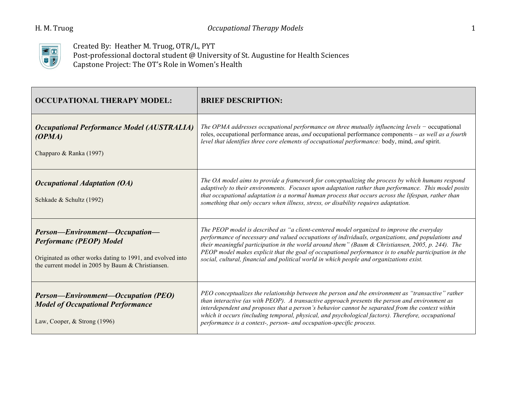

Created By: Heather M. Truog, OTR/L, PYT Post-professional doctoral student @ University of St. Augustine for Health Sciences Capstone Project: The OT's Role in Women's Health

| <b>OCCUPATIONAL THERAPY MODEL:</b>                                                                                                                                                  | <b>BRIEF DESCRIPTION:</b>                                                                                                                                                                                                                                                                                                                                                                                                                                                                                    |
|-------------------------------------------------------------------------------------------------------------------------------------------------------------------------------------|--------------------------------------------------------------------------------------------------------------------------------------------------------------------------------------------------------------------------------------------------------------------------------------------------------------------------------------------------------------------------------------------------------------------------------------------------------------------------------------------------------------|
| <b>Occupational Performance Model (AUSTRALIA)</b><br>(OPMA)<br>Chapparo & Ranka (1997)                                                                                              | The OPMA addresses occupational performance on three mutually influencing levels $-$ occupational<br>roles, occupational performance areas, and occupational performance components – as well as a fourth<br>level that identifies three core elements of occupational performance: body, mind, and spirit.                                                                                                                                                                                                  |
| <b>Occupational Adaptation (OA)</b><br>Schkade & Schultz (1992)                                                                                                                     | The OA model aims to provide a framework for conceptualizing the process by which humans respond<br>adaptively to their environments. Focuses upon adaptation rather than performance. This model posits<br>that occupational adaptation is a normal human process that occurs across the lifespan, rather than<br>something that only occurs when illness, stress, or disability requires adaptation.                                                                                                       |
| Person-Environment-Occupation-<br><b>Performanc (PEOP) Model</b><br>Originated as other works dating to 1991, and evolved into<br>the current model in 2005 by Baum & Christiansen. | The PEOP model is described as "a client-centered model organized to improve the everyday<br>performance of necessary and valued occupations of individuals, organizations, and populations and<br>their meaningful participation in the world around them" (Baum $\&$ Christiansen, 2005, p. 244). The<br>PEOP model makes explicit that the goal of occupational performance is to enable participation in the<br>social, cultural, financial and political world in which people and organizations exist. |
| <b>Person—Environment—Occupation (PEO)</b><br><b>Model of Occupational Performance</b><br>Law, Cooper, $&$ Strong (1996)                                                            | PEO conceptualizes the relationship between the person and the environment as "transactive" rather<br>than interactive (as with PEOP). A transactive approach presents the person and environment as<br>interdependent and proposes that a person's behavior cannot be separated from the context within<br>which it occurs (including temporal, physical, and psychological factors). Therefore, occupational<br>performance is a context-, person- and occupation-specific process.                        |